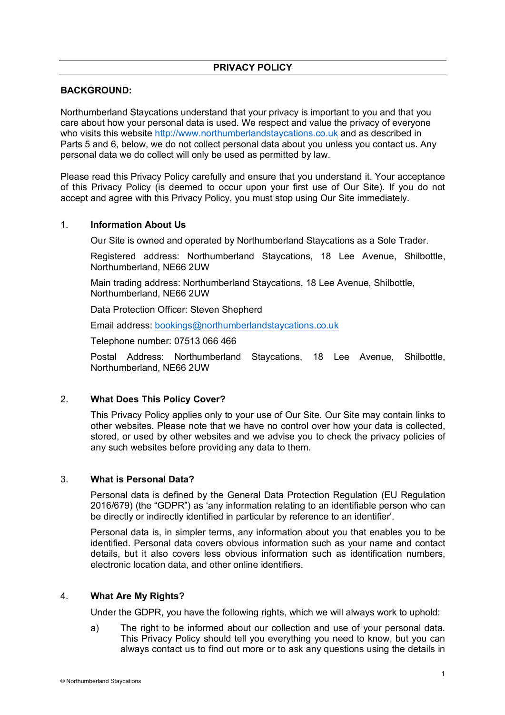# **PRIVACY POLICY**

## **BACKGROUND:**

Northumberland Staycations understand that your privacy is important to you and that you care about how your personal data is used. We respect and value the privacy of everyone who visits this website http://www.northumberlandstaycations.co.uk and as described in Parts 5 and 6, below, we do not collect personal data about you unless you contact us. Any personal data we do collect will only be used as permitted by law.

Please read this Privacy Policy carefully and ensure that you understand it. Your acceptance of this Privacy Policy (is deemed to occur upon your first use of Our Site). If you do not accept and agree with this Privacy Policy, you must stop using Our Site immediately.

#### 1. **Information About Us**

Our Site is owned and operated by Northumberland Staycations as a Sole Trader.

Registered address: Northumberland Staycations, 18 Lee Avenue, Shilbottle, Northumberland, NE66 2UW

Main trading address: Northumberland Staycations, 18 Lee Avenue, Shilbottle, Northumberland, NE66 2UW

Data Protection Officer: Steven Shepherd

Email address: bookings@northumberlandstaycations.co.uk

Telephone number: 07513 066 466

Postal Address: Northumberland Staycations, 18 Lee Avenue, Shilbottle, Northumberland, NE66 2UW

## 2. **What Does This Policy Cover?**

This Privacy Policy applies only to your use of Our Site. Our Site may contain links to other websites. Please note that we have no control over how your data is collected, stored, or used by other websites and we advise you to check the privacy policies of any such websites before providing any data to them.

#### 3. **What is Personal Data?**

Personal data is defined by the General Data Protection Regulation (EU Regulation 2016/679) (the "GDPR") as 'any information relating to an identifiable person who can be directly or indirectly identified in particular by reference to an identifier'.

Personal data is, in simpler terms, any information about you that enables you to be identified. Personal data covers obvious information such as your name and contact details, but it also covers less obvious information such as identification numbers, electronic location data, and other online identifiers.

#### 4. **What Are My Rights?**

Under the GDPR, you have the following rights, which we will always work to uphold:

a) The right to be informed about our collection and use of your personal data. This Privacy Policy should tell you everything you need to know, but you can always contact us to find out more or to ask any questions using the details in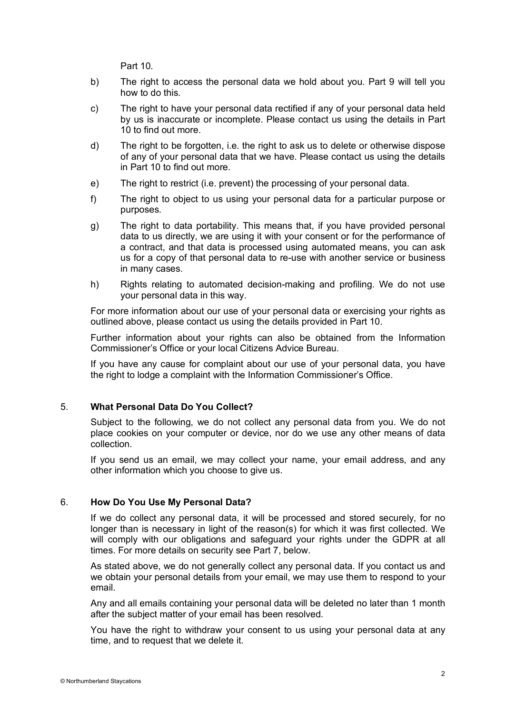Part 10.

- b) The right to access the personal data we hold about you. Part 9 will tell you how to do this.
- c) The right to have your personal data rectified if any of your personal data held by us is inaccurate or incomplete. Please contact us using the details in Part 10 to find out more.
- d) The right to be forgotten, i.e. the right to ask us to delete or otherwise dispose of any of your personal data that we have. Please contact us using the details in Part 10 to find out more.
- e) The right to restrict (i.e. prevent) the processing of your personal data.
- f) The right to object to us using your personal data for a particular purpose or purposes.
- g) The right to data portability. This means that, if you have provided personal data to us directly, we are using it with your consent or for the performance of a contract, and that data is processed using automated means, you can ask us for a copy of that personal data to re-use with another service or business in many cases.
- h) Rights relating to automated decision-making and profiling. We do not use your personal data in this way.

For more information about our use of your personal data or exercising your rights as outlined above, please contact us using the details provided in Part 10.

Further information about your rights can also be obtained from the Information Commissioner's Office or your local Citizens Advice Bureau.

If you have any cause for complaint about our use of your personal data, you have the right to lodge a complaint with the Information Commissioner's Office.

## 5. **What Personal Data Do You Collect?**

Subject to the following, we do not collect any personal data from you. We do not place cookies on your computer or device, nor do we use any other means of data collection.

If you send us an email, we may collect your name, your email address, and any other information which you choose to give us.

#### 6. **How Do You Use My Personal Data?**

If we do collect any personal data, it will be processed and stored securely, for no longer than is necessary in light of the reason(s) for which it was first collected. We will comply with our obligations and safeguard your rights under the GDPR at all times. For more details on security see Part 7, below.

As stated above, we do not generally collect any personal data. If you contact us and we obtain your personal details from your email, we may use them to respond to your email.

Any and all emails containing your personal data will be deleted no later than 1 month after the subject matter of your email has been resolved.

You have the right to withdraw your consent to us using your personal data at any time, and to request that we delete it.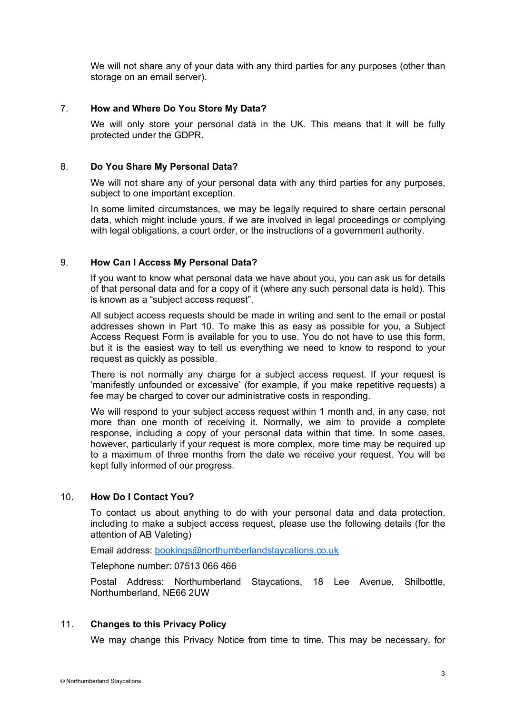We will not share any of your data with any third parties for any purposes (other than storage on an email server).

### 7. **How and Where Do You Store My Data?**

We will only store your personal data in the UK. This means that it will be fully protected under the GDPR.

### 8. **Do You Share My Personal Data?**

We will not share any of your personal data with any third parties for any purposes, subject to one important exception.

In some limited circumstances, we may be legally required to share certain personal data, which might include yours, if we are involved in legal proceedings or complying with legal obligations, a court order, or the instructions of a government authority.

### 9. **How Can I Access My Personal Data?**

If you want to know what personal data we have about you, you can ask us for details of that personal data and for a copy of it (where any such personal data is held). This is known as a "subject access request".

All subject access requests should be made in writing and sent to the email or postal addresses shown in Part 10. To make this as easy as possible for you, a Subject Access Request Form is available for you to use. You do not have to use this form, but it is the easiest way to tell us everything we need to know to respond to your request as quickly as possible.

There is not normally any charge for a subject access request. If your request is 'manifestly unfounded or excessive' (for example, if you make repetitive requests) a fee may be charged to cover our administrative costs in responding.

We will respond to your subject access request within 1 month and, in any case, not more than one month of receiving it. Normally, we aim to provide a complete response, including a copy of your personal data within that time. In some cases, however, particularly if your request is more complex, more time may be required up to a maximum of three months from the date we receive your request. You will be kept fully informed of our progress.

## 10. **How Do I Contact You?**

To contact us about anything to do with your personal data and data protection, including to make a subject access request, please use the following details (for the attention of AB Valeting)

Email address: bookings@northumberlandstaycations.co.uk

Telephone number: 07513 066 466

Postal Address: Northumberland Staycations, 18 Lee Avenue, Shilbottle, Northumberland, NE66 2UW

## 11. **Changes to this Privacy Policy**

We may change this Privacy Notice from time to time. This may be necessary, for